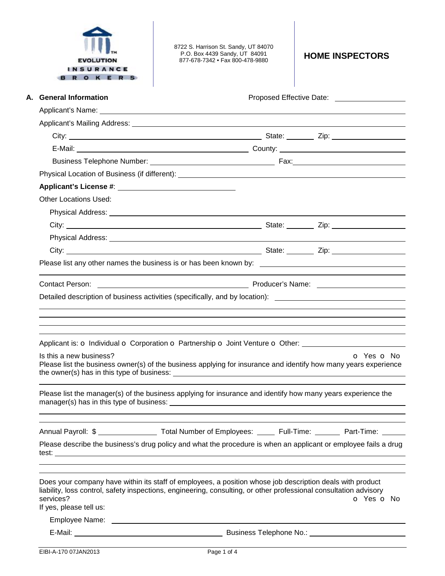

8722 S. Harrison St. Sandy, UT 84070 P.O. Box 4439 Sandy, UT 84091 877-678-7342 • Fax 800-478-9880 **HOME INSPECTORS** 

| A. General Information               | Proposed Effective Date: ___________________                                                                                                                                                                                                                                                                                                                                                                                               |
|--------------------------------------|--------------------------------------------------------------------------------------------------------------------------------------------------------------------------------------------------------------------------------------------------------------------------------------------------------------------------------------------------------------------------------------------------------------------------------------------|
|                                      |                                                                                                                                                                                                                                                                                                                                                                                                                                            |
|                                      |                                                                                                                                                                                                                                                                                                                                                                                                                                            |
|                                      |                                                                                                                                                                                                                                                                                                                                                                                                                                            |
|                                      |                                                                                                                                                                                                                                                                                                                                                                                                                                            |
|                                      |                                                                                                                                                                                                                                                                                                                                                                                                                                            |
|                                      |                                                                                                                                                                                                                                                                                                                                                                                                                                            |
|                                      |                                                                                                                                                                                                                                                                                                                                                                                                                                            |
| <b>Other Locations Used:</b>         |                                                                                                                                                                                                                                                                                                                                                                                                                                            |
|                                      |                                                                                                                                                                                                                                                                                                                                                                                                                                            |
|                                      |                                                                                                                                                                                                                                                                                                                                                                                                                                            |
|                                      |                                                                                                                                                                                                                                                                                                                                                                                                                                            |
|                                      |                                                                                                                                                                                                                                                                                                                                                                                                                                            |
|                                      |                                                                                                                                                                                                                                                                                                                                                                                                                                            |
|                                      |                                                                                                                                                                                                                                                                                                                                                                                                                                            |
|                                      |                                                                                                                                                                                                                                                                                                                                                                                                                                            |
|                                      |                                                                                                                                                                                                                                                                                                                                                                                                                                            |
|                                      | ,我们也不会有什么。""我们的人,我们也不会有什么?""我们的人,我们也不会有什么?""我们的人,我们也不会有什么?""我们的人,我们也不会有什么?""我们的人<br>Applicant is: o Individual o Corporation o Partnership o Joint Venture o Other: ____________________                                                                                                                                                                                                                                                   |
| Is this a new business?              | O Yes O No                                                                                                                                                                                                                                                                                                                                                                                                                                 |
|                                      | Contact Person: <u>Contact Person:</u> Contact Person: Contact Person: Contact Person:<br>Detailed description of business activities (specifically, and by location): ________________________________<br>Please list the business owner(s) of the business applying for insurance and identify how many years experience<br>Please list the manager(s) of the business applying for insurance and identify how many years experience the |
|                                      |                                                                                                                                                                                                                                                                                                                                                                                                                                            |
|                                      |                                                                                                                                                                                                                                                                                                                                                                                                                                            |
|                                      |                                                                                                                                                                                                                                                                                                                                                                                                                                            |
| services?<br>If yes, please tell us: | Does your company have within its staff of employees, a position whose job description deals with product<br>liability, loss control, safety inspections, engineering, consulting, or other professional consultation advisory<br>o Yes o No                                                                                                                                                                                               |
|                                      | Annual Payroll: \$ _________________ Total Number of Employees: _____ Full-Time: ______ Part-Time: _____<br>Please describe the business's drug policy and what the procedure is when an applicant or employee fails a drug                                                                                                                                                                                                                |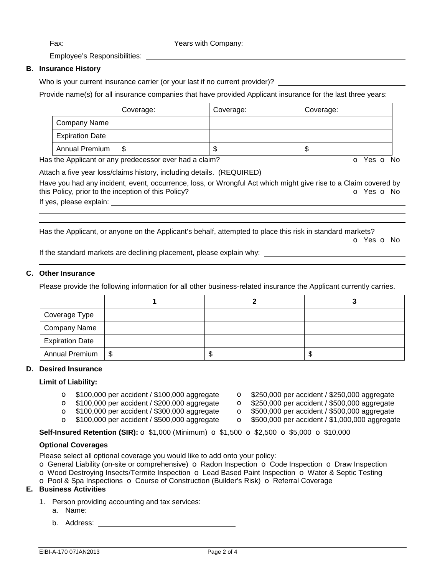Who is your current insurance carrier (or your last if no current provider)? \_

|                        | Coverage: | Coverage: | Coverage: |
|------------------------|-----------|-----------|-----------|
| Company Name           |           |           |           |
| <b>Expiration Date</b> |           |           |           |
| <b>Annual Premium</b>  | \$        | ۰D        | ۰D        |

Has the Applicant or any predecessor ever had a claim? **O** Yes **o** No

Attach a five year loss/claims history, including details. (REQUIRED)

Have you had any incident, event, occurrence, loss, or Wrongful Act which might give rise to a Claim covered by this Policy, prior to the inception of this Policy? **o** Yes **o** No If yes, please explain:

**B. Insurance History** 

Has the Applicant, or anyone on the Applicant's behalf, attempted to place this risk in standard markets? o Yes o No

If the standard markets are declining placement, please explain why:

#### **C. Other Insurance**

 

Please provide the following information for all other business-related insurance the Applicant currently carries.

| Coverage Type                          |    |  |
|----------------------------------------|----|--|
| Company Name<br><b>Expiration Date</b> |    |  |
|                                        |    |  |
| Annual Premium   \$                    | м. |  |

## **D. Desired Insurance**

## **Limit of Liability:**

- o \$100,000 per accident / \$100,000 aggregate o \$250,000 per accident / \$250,000 aggregate
- 
- o \$100,000 per accident / \$300,000 aggregate o \$500,000 per accident / \$500,000 aggregate
- 
- 
- 
- 

**Self-Insured Retention (SIR):** o \$1,000 (Minimum) o \$1,500 o \$2,500 o \$5,000 o \$10,000

## **Optional Coverages**

Please select all optional coverage you would like to add onto your policy:

o General Liability (on-site or comprehensive) o Radon Inspection o Code Inspection o Draw Inspection o Wood Destroying Insects/Termite Inspection o Lead Based Paint Inspection o Water & Septic Testing o Pool & Spa Inspections o Course of Construction (Builder's Risk) o Referral Coverage

## **E. Business Activities**

- 1. Person providing accounting and tax services:
	- a. Name:
	- b. Address:
- o \$100,000 per accident / \$200,000 aggregate o \$250,000 per accident / \$500,000 aggregate
	-
- $\bullet$  \$100,000 per accident / \$500,000 aggregate  $\bullet$  \$500,000 per accident / \$1,000,000 aggregate

# Fax: Years with Company: Employee's Responsibilities: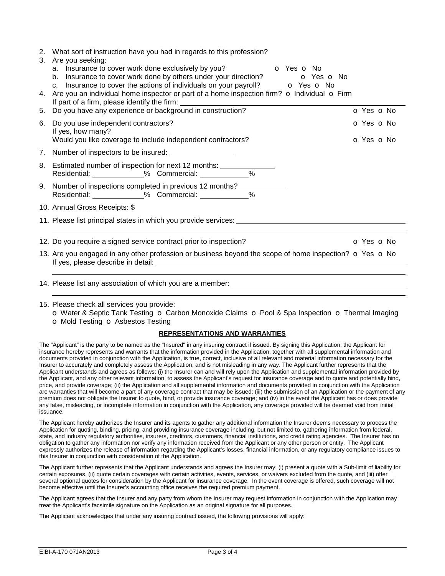|  |  |  | 2. What sort of instruction have you had in regards to this profession? |
|--|--|--|-------------------------------------------------------------------------|
|--|--|--|-------------------------------------------------------------------------|

|    | 2. Trinat sont or motivation mave you had in regards to this profession :<br>3. Are you seeking:                                                                                                                                                                                                                                                                                                                     |                          |
|----|----------------------------------------------------------------------------------------------------------------------------------------------------------------------------------------------------------------------------------------------------------------------------------------------------------------------------------------------------------------------------------------------------------------------|--------------------------|
|    | a. Insurance to cover work done exclusively by you?<br>O Yes O No<br>b. Insurance to cover work done by others under your direction?<br>o Yes o No<br>c. Insurance to cover the actions of individuals on your payroll? $\bullet$ Yes $\bullet$ No<br>4. Are you an individual home inspector or part of a home inspection firm? o Individual o Firm<br>5. Do you have any experience or background in construction? | O Yes O No               |
| 6. | Do you use independent contractors?<br>If yes, how many? $\frac{1}{2}$<br>Would you like coverage to include independent contractors?                                                                                                                                                                                                                                                                                | O Yes O No<br>O Yes O No |
|    |                                                                                                                                                                                                                                                                                                                                                                                                                      |                          |
|    | 8. Estimated number of inspection for next 12 months: _______________<br>Residential: _____________% Commercial: ____________%                                                                                                                                                                                                                                                                                       |                          |
|    | 9. Number of inspections completed in previous 12 months? _________<br>Residential: _____________% Commercial: ____________%                                                                                                                                                                                                                                                                                         |                          |
|    | 10. Annual Gross Receipts: \$                                                                                                                                                                                                                                                                                                                                                                                        |                          |
|    | 11. Please list principal states in which you provide services: ___________________________________                                                                                                                                                                                                                                                                                                                  |                          |
|    | 12. Do you require a signed service contract prior to inspection?                                                                                                                                                                                                                                                                                                                                                    | O Yes O No               |
|    | 13. Are you engaged in any other profession or business beyond the scope of home inspection? o Yes o No                                                                                                                                                                                                                                                                                                              |                          |
|    | 14. Please list any association of which you are a member:                                                                                                                                                                                                                                                                                                                                                           |                          |

## 15. Please check all services you provide: o Water & Septic Tank Testing o Carbon Monoxide Claims o Pool & Spa Inspection o Thermal Imaging o Mold Testing o Asbestos Testing

## **REPRESENTATIONS AND WARRANTIES**

The "Applicant" is the party to be named as the "Insured" in any insuring contract if issued. By signing this Application, the Applicant for insurance hereby represents and warrants that the information provided in the Application, together with all supplemental information and documents provided in conjunction with the Application, is true, correct, inclusive of all relevant and material information necessary for the Insurer to accurately and completely assess the Application, and is not misleading in any way. The Applicant further represents that the Applicant understands and agrees as follows: (i) the Insurer can and will rely upon the Application and supplemental information provided by the Applicant, and any other relevant information, to assess the Applicant's request for insurance coverage and to quote and potentially bind, price, and provide coverage; (ii) the Application and all supplemental information and documents provided in conjunction with the Application are warranties that will become a part of any coverage contract that may be issued; (iii) the submission of an Application or the payment of any premium does not obligate the Insurer to quote, bind, or provide insurance coverage; and (iv) in the event the Applicant has or does provide any false, misleading, or incomplete information in conjunction with the Application, any coverage provided will be deemed void from initial issuance.

The Applicant hereby authorizes the Insurer and its agents to gather any additional information the Insurer deems necessary to process the Application for quoting, binding, pricing, and providing insurance coverage including, but not limited to, gathering information from federal, state, and industry regulatory authorities, insurers, creditors, customers, financial institutions, and credit rating agencies. The Insurer has no obligation to gather any information nor verify any information received from the Applicant or any other person or entity. The Applicant expressly authorizes the release of information regarding the Applicant's losses, financial information, or any regulatory compliance issues to this Insurer in conjunction with consideration of the Application.

The Applicant further represents that the Applicant understands and agrees the Insurer may: (i) present a quote with a Sub-limit of liability for certain exposures, (ii) quote certain coverages with certain activities, events, services, or waivers excluded from the quote, and (iii) offer several optional quotes for consideration by the Applicant for insurance coverage. In the event coverage is offered, such coverage will not become effective until the Insurer's accounting office receives the required premium payment.

The Applicant agrees that the Insurer and any party from whom the Insurer may request information in conjunction with the Application may treat the Applicant's facsimile signature on the Application as an original signature for all purposes.

The Applicant acknowledges that under any insuring contract issued, the following provisions will apply: